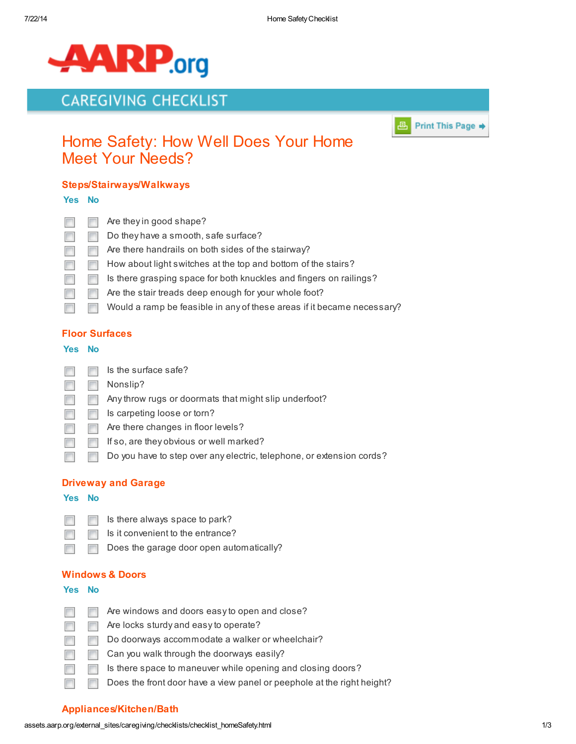

# **CAREGIVING CHECKLIST**



# Home Safety: How Well Does Your Home Meet Your Needs?

## Steps/Stairways/Walkways

#### Yes No

|           | Are they in good shape?                                                |
|-----------|------------------------------------------------------------------------|
| <b>In</b> | Do they have a smooth, safe surface?                                   |
|           | Are there handrails on both sides of the stairway?                     |
|           | How about light switches at the top and bottom of the stairs?          |
|           | Is there grasping space for both knuckles and fingers on railings?     |
|           | Are the stair treads deep enough for your whole foot?                  |
|           | Would a ramp be feasible in any of these areas if it became necessary? |

### Floor Surfaces

#### Yes No

 $\Box$ 

 $\overline{\phantom{a}}$ 

 $\Box$ 

m

- П  $\overline{\phantom{a}}$ Is the surface safe?
- Nonslip?  $\overline{\phantom{a}}$  $\overline{\phantom{a}}$ 
	- Any throw rugs or doormats that might slip underfoot?  $\overline{\phantom{a}}$
- Is carpeting loose or torn? П  $\mathcal{L}_{\text{max}}$
- П Are there changes in floor levels?
	- If so, are they obvious or well marked?
	- Do you have to step over any electric, telephone, or extension cords? **The State**

### Driveway and Garage

#### Yes No

- Is there always space to park? П
	- Is it convenient to the entrance?  $\Box$ 
		- Does the garage door open automatically?

### Windows & Doors

#### Yes No

 $\sim$  $\overline{\phantom{a}}$ П П

П

- Are windows and doors easy to open and close?
- Are locks sturdy and easy to operate?
- $\sim$ Do doorways accommodate a walker or wheelchair?
- Can you walk through the doorways easily? **FILL**
- Is there space to maneuver while opening and closing doors?
- Does the front door have a view panel or peephole at the right height?

## Appliances/Kitchen/Bath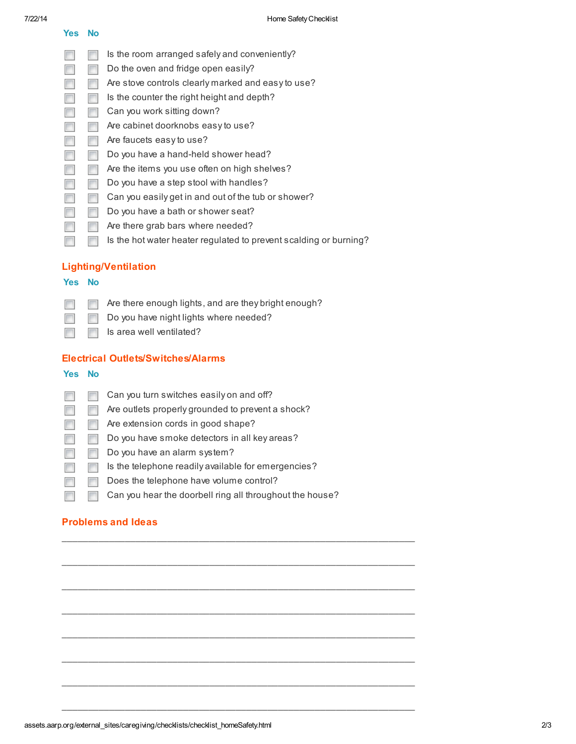Yes No

 $\overline{\phantom{a}}$ 

- Is the room arranged safely and conveniently?
- Do the oven and fridge open easily?  $\Box$  $\overline{\phantom{a}}$
- Are stove controls clearly marked and easy to use?  $\Box$  $\blacksquare$ 
	- Is the counter the right height and depth?  $\overline{\phantom{a}}$
- $\Box$ Can you work sitting down?  $\overline{\mathbb{R}^n}$
- Are cabinet doorknobs easy to use? m  $\overline{\phantom{a}}$
- Are faucets easy to use?  $\Box$  $\overline{\phantom{a}}$
- $\Box$ Do you have a hand-held shower head?  $\overline{\phantom{a}}$
- Are the items you use often on high shelves? П  $\blacksquare$
- Do you have a step stool with handles?  $\Box$  $\overline{\phantom{a}}$
- $\overline{\phantom{a}}$ Can you easily get in and out of the tub or shower?  $\overline{\phantom{a}}$
- Do you have a bath or shower seat?  $\overline{\phantom{a}}$  $\mathcal{C}^{\mathcal{A}}$
- $\Box$  $\sim$ Are there grab bars where needed?
- Is the hot water heater regulated to prevent scalding or burning?  $\overline{\phantom{a}}$  $\overline{\phantom{a}}$

## Lighting/Ventilation

#### Yes No

- Are there enough lights, and are they bright enough?  $\overline{\phantom{a}}$  $\overline{\phantom{a}}$ 
	- Do you have night lights where needed?
		- Is area well ventilated?  $\Box$

### Electrical Outlets/Switches/Alarms

#### Yes No

 $\overline{\phantom{a}}$ 

 $\overline{\phantom{a}}$  $\blacksquare$ Can you turn switches easily on and off? Are outlets properly grounded to prevent a shock?  $\overline{\phantom{a}}$  $\overline{\phantom{a}}$ Are extension cords in good shape? П  $\overline{\mathcal{C}}$ Do you have smoke detectors in all key areas?  $\Box$  $\overline{\mathbb{R}^n}$ Do you have an alarm system?  $\Box$  $\overline{\phantom{a}}$  $\Box$ Is the telephone readily available for emergencies?  $\overline{\phantom{a}}$ Does the telephone have volume control? П Can you hear the doorbell ring all throughout the house?  $\Box$  $\overline{\phantom{a}}$ 

 $\Box$ 

\_\_\_\_\_\_\_\_\_\_\_\_\_\_\_\_\_\_\_\_\_\_\_\_\_\_\_\_\_\_\_\_\_\_\_\_\_\_\_\_\_\_\_\_\_\_\_\_\_\_\_\_\_\_\_\_\_\_\_\_\_\_\_\_\_\_\_

 $\mathcal{L}_\mathcal{L}$  , and the contribution of the contribution of the contribution of the contribution of the contribution of the contribution of the contribution of the contribution of the contribution of the contribution of

 $\Box$ 

\_\_\_\_\_\_\_\_\_\_\_\_\_\_\_\_\_\_\_\_\_\_\_\_\_\_\_\_\_\_\_\_\_\_\_\_\_\_\_\_\_\_\_\_\_\_\_\_\_\_\_\_\_\_\_\_\_\_\_\_\_\_\_\_\_\_\_

 $\mathcal{L}_\mathcal{L}$  , and the contribution of the contribution of the contribution of the contribution of the contribution of the contribution of the contribution of the contribution of the contribution of the contribution of

 $\Box$ 

\_\_\_\_\_\_\_\_\_\_\_\_\_\_\_\_\_\_\_\_\_\_\_\_\_\_\_\_\_\_\_\_\_\_\_\_\_\_\_\_\_\_\_\_\_\_\_\_\_\_\_\_\_\_\_\_\_\_\_\_\_\_\_\_\_\_\_

## Problems and Ideas